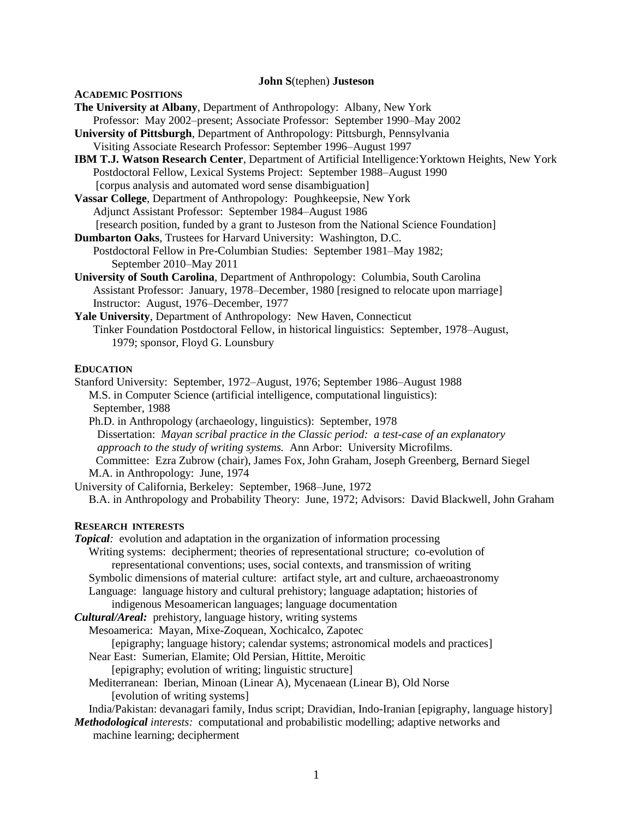#### **John S**(tephen) **Justeson**

#### **ACADEMIC POSITIONS**

**The University at Albany**, Department of Anthropology: Albany, New York

- Professor: May 2002–present; Associate Professor: September 1990–May 2002
- **University of Pittsburgh**, Department of Anthropology: Pittsburgh, Pennsylvania Visiting Associate Research Professor: September 1996–August 1997
- **IBM T.J. Watson Research Center**, Department of Artificial Intelligence:Yorktown Heights, New York

 Postdoctoral Fellow, Lexical Systems Project: September 1988–August 1990 [corpus analysis and automated word sense disambiguation]

- **Vassar College**, Department of Anthropology: Poughkeepsie, New York Adjunct Assistant Professor: September 1984–August 1986 [research position, funded by a grant to Justeson from the National Science Foundation]
- **Dumbarton Oaks**, Trustees for Harvard University: Washington, D.C. Postdoctoral Fellow in Pre-Columbian Studies: September 1981–May 1982; September 2010–May 2011
- **University of South Carolina**, Department of Anthropology: Columbia, South Carolina Assistant Professor: January, 1978–December, 1980 [resigned to relocate upon marriage] Instructor: August, 1976–December, 1977
- **Yale University**, Department of Anthropology: New Haven, Connecticut Tinker Foundation Postdoctoral Fellow, in historical linguistics: September, 1978–August, 1979; sponsor, Floyd G. Lounsbury

## **EDUCATION**

Stanford University: September, 1972–August, 1976; September 1986–August 1988 M.S. in Computer Science (artificial intelligence, computational linguistics): September, 1988

 Ph.D. in Anthropology (archaeology, linguistics): September, 1978 Dissertation: *Mayan scribal practice in the Classic period: a test-case of an explanatory approach to the study of writing systems.* Ann Arbor: University Microfilms. Committee: Ezra Zubrow (chair), James Fox, John Graham, Joseph Greenberg, Bernard Siegel M.A. in Anthropology: June, 1974

University of California, Berkeley: September, 1968–June, 1972

B.A. in Anthropology and Probability Theory: June, 1972; Advisors: David Blackwell, John Graham

#### **RESEARCH INTERESTS**

*Topical:* evolution and adaptation in the organization of information processing Writing systems: decipherment; theories of representational structure; co-evolution of representational conventions; uses, social contexts, and transmission of writing

Symbolic dimensions of material culture: artifact style, art and culture, archaeoastronomy

Language: language history and cultural prehistory; language adaptation; histories of

indigenous Mesoamerican languages; language documentation

*Cultural/Areal:* prehistory, language history, writing systems

Mesoamerica: Mayan, Mixe-Zoquean, Xochicalco, Zapotec

[epigraphy; language history; calendar systems; astronomical models and practices]

Near East: Sumerian, Elamite; Old Persian, Hittite, Meroitic

[epigraphy; evolution of writing; linguistic structure]

 Mediterranean: Iberian, Minoan (Linear A), Mycenaean (Linear B), Old Norse [evolution of writing systems]

India/Pakistan: devanagari family, Indus script; Dravidian, Indo-Iranian [epigraphy, language history]

*Methodological interests:* computational and probabilistic modelling; adaptive networks and machine learning; decipherment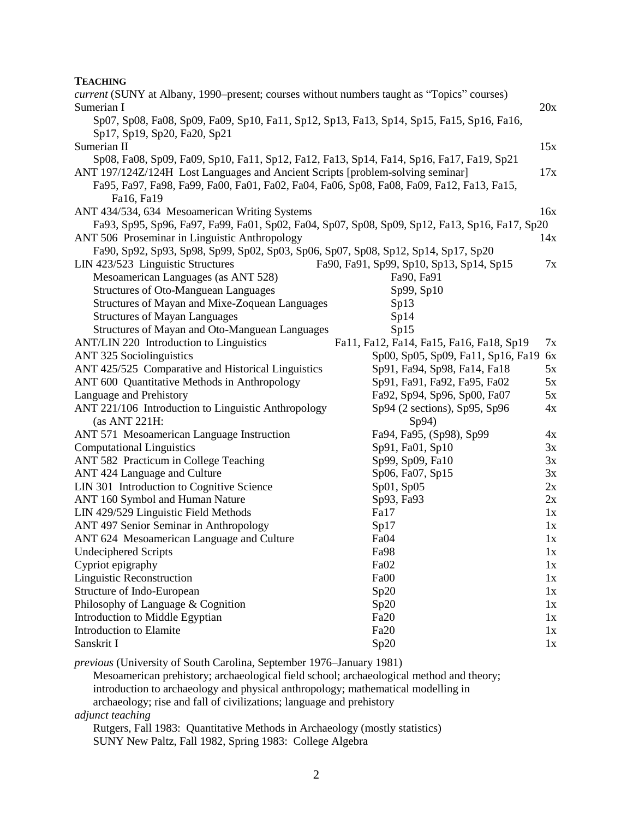# **TEACHING**

| current (SUNY at Albany, 1990–present; courses without numbers taught as "Topics" courses)     |                                          |     |
|------------------------------------------------------------------------------------------------|------------------------------------------|-----|
| Sumerian I                                                                                     |                                          | 20x |
| Sp07, Sp08, Fa08, Sp09, Fa09, Sp10, Fa11, Sp12, Sp13, Fa13, Sp14, Sp15, Fa15, Sp16, Fa16,      |                                          |     |
| Sp17, Sp19, Sp20, Fa20, Sp21                                                                   |                                          |     |
| Sumerian II                                                                                    |                                          | 15x |
| Sp08, Fa08, Sp09, Fa09, Sp10, Fa11, Sp12, Fa12, Fa13, Sp14, Fa14, Sp16, Fa17, Fa19, Sp21       |                                          |     |
| ANT 197/124Z/124H Lost Languages and Ancient Scripts [problem-solving seminar]                 |                                          | 17x |
| Fa95, Fa97, Fa98, Fa99, Fa00, Fa01, Fa02, Fa04, Fa06, Sp08, Fa08, Fa09, Fa12, Fa13, Fa15,      |                                          |     |
| Fa16, Fa19                                                                                     |                                          |     |
| ANT 434/534, 634 Mesoamerican Writing Systems                                                  |                                          | 16x |
| Fa93, Sp95, Sp96, Fa97, Fa99, Fa01, Sp02, Fa04, Sp07, Sp08, Sp09, Sp12, Fa13, Sp16, Fa17, Sp20 |                                          |     |
| ANT 506 Proseminar in Linguistic Anthropology                                                  |                                          | 14x |
| Fa90, Sp92, Sp93, Sp98, Sp99, Sp02, Sp03, Sp06, Sp07, Sp08, Sp12, Sp14, Sp17, Sp20             |                                          |     |
| LIN 423/523 Linguistic Structures                                                              | Fa90, Fa91, Sp99, Sp10, Sp13, Sp14, Sp15 | 7x  |
| Mesoamerican Languages (as ANT 528)                                                            | Fa90, Fa91                               |     |
| <b>Structures of Oto-Manguean Languages</b>                                                    | Sp99, Sp10                               |     |
| Structures of Mayan and Mixe-Zoquean Languages                                                 | Sp13                                     |     |
| <b>Structures of Mayan Languages</b>                                                           | Sp14                                     |     |
| Structures of Mayan and Oto-Manguean Languages                                                 | Sp15                                     |     |
| ANT/LIN 220 Introduction to Linguistics                                                        | Fa11, Fa12, Fa14, Fa15, Fa16, Fa18, Sp19 | 7x  |
| <b>ANT 325 Sociolinguistics</b>                                                                | Sp00, Sp05, Sp09, Fa11, Sp16, Fa19       | 6x  |
| ANT 425/525 Comparative and Historical Linguistics                                             | Sp91, Fa94, Sp98, Fa14, Fa18             | 5x  |
| ANT 600 Quantitative Methods in Anthropology                                                   | Sp91, Fa91, Fa92, Fa95, Fa02             | 5x  |
| Language and Prehistory                                                                        | Fa92, Sp94, Sp96, Sp00, Fa07             | 5x  |
| ANT 221/106 Introduction to Linguistic Anthropology                                            | Sp94 (2 sections), Sp95, Sp96            | 4x  |
| (as ANT 221H:                                                                                  | Sp94)                                    |     |
| ANT 571 Mesoamerican Language Instruction                                                      | Fa94, Fa95, (Sp98), Sp99                 | 4x  |
| <b>Computational Linguistics</b>                                                               | Sp91, Fa01, Sp10                         | 3x  |
| ANT 582 Practicum in College Teaching                                                          | Sp99, Sp09, Fa10                         | 3x  |
| ANT 424 Language and Culture                                                                   | Sp06, Fa07, Sp15                         | 3x  |
| LIN 301 Introduction to Cognitive Science                                                      | Sp01, Sp05                               | 2x  |
| ANT 160 Symbol and Human Nature                                                                | Sp93, Fa93                               | 2x  |
| LIN 429/529 Linguistic Field Methods                                                           | Fa17                                     | 1x  |
| ANT 497 Senior Seminar in Anthropology                                                         | Sp17                                     | 1x  |
| ANT 624 Mesoamerican Language and Culture                                                      | Fa04                                     | 1x  |
| Undeciphered Scripts                                                                           | Fa98                                     | 1x  |
| Cypriot epigraphy                                                                              | Fa02                                     | 1x  |
| Linguistic Reconstruction                                                                      | Fa00                                     | 1x  |
| Structure of Indo-European                                                                     | Sp20                                     | 1x  |
| Philosophy of Language & Cognition                                                             | Sp20                                     | 1x  |
| Introduction to Middle Egyptian                                                                | Fa20                                     | 1x  |
| Introduction to Elamite                                                                        | Fa20                                     | 1x  |
| Sanskrit I                                                                                     | Sp20                                     | 1x  |
|                                                                                                | 1001                                     |     |

*previous* (University of South Carolina, September 1976–January 1981)

Mesoamerican prehistory; archaeological field school; archaeological method and theory;

introduction to archaeology and physical anthropology; mathematical modelling in

archaeology; rise and fall of civilizations; language and prehistory

*adjunct teaching*

Rutgers, Fall 1983: Quantitative Methods in Archaeology (mostly statistics) SUNY New Paltz, Fall 1982, Spring 1983: College Algebra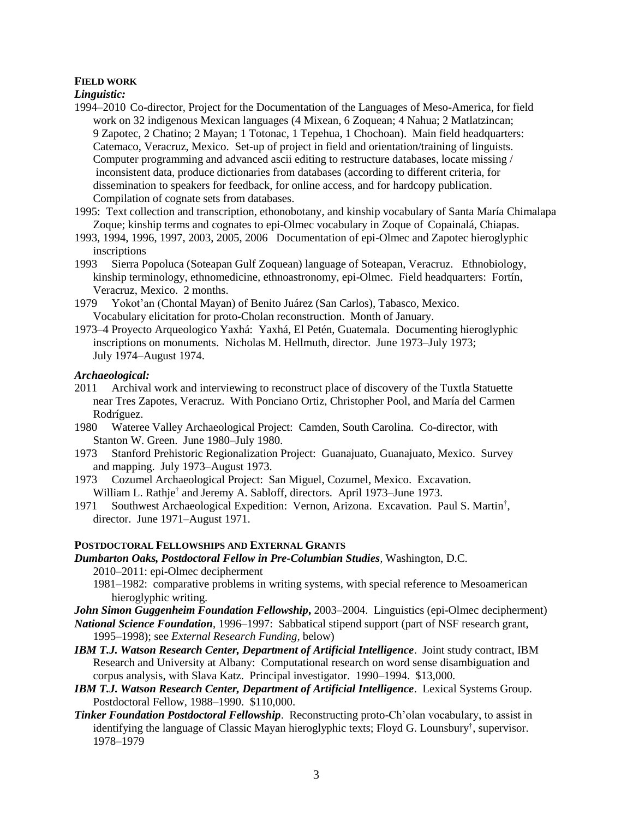# **FIELD WORK**

*Linguistic:*

- 1994–2010 Co-director, Project for the Documentation of the Languages of Meso-America, for field work on 32 indigenous Mexican languages (4 Mixean, 6 Zoquean; 4 Nahua; 2 Matlatzincan; 9 Zapotec, 2 Chatino; 2 Mayan; 1 Totonac, 1 Tepehua, 1 Chochoan). Main field headquarters: Catemaco, Veracruz, Mexico. Set-up of project in field and orientation/training of linguists. Computer programming and advanced ascii editing to restructure databases, locate missing / inconsistent data, produce dictionaries from databases (according to different criteria, for dissemination to speakers for feedback, for online access, and for hardcopy publication. Compilation of cognate sets from databases.
- 1995: Text collection and transcription, ethonobotany, and kinship vocabulary of Santa María Chimalapa Zoque; kinship terms and cognates to epi-Olmec vocabulary in Zoque of Copainalá, Chiapas.
- 1993, 1994, 1996, 1997, 2003, 2005, 2006 Documentation of epi-Olmec and Zapotec hieroglyphic inscriptions
- 1993 Sierra Popoluca (Soteapan Gulf Zoquean) language of Soteapan, Veracruz. Ethnobiology, kinship terminology, ethnomedicine, ethnoastronomy, epi-Olmec. Field headquarters: Fortín, Veracruz, Mexico. 2 months.
- 1979 Yokot'an (Chontal Mayan) of Benito Juárez (San Carlos), Tabasco, Mexico. Vocabulary elicitation for proto-Cholan reconstruction. Month of January.
- 1973–4 Proyecto Arqueologico Yaxhá: Yaxhá, El Petén, Guatemala. Documenting hieroglyphic inscriptions on monuments. Nicholas M. Hellmuth, director. June 1973–July 1973; July 1974–August 1974.

#### *Archaeological:*

- 2011 Archival work and interviewing to reconstruct place of discovery of the Tuxtla Statuette near Tres Zapotes, Veracruz. With Ponciano Ortiz, Christopher Pool, and María del Carmen Rodríguez.
- 1980 Wateree Valley Archaeological Project: Camden, South Carolina. Co-director, with Stanton W. Green. June 1980–July 1980.
- 1973 Stanford Prehistoric Regionalization Project: Guanajuato, Guanajuato, Mexico. Survey and mapping. July 1973–August 1973.
- 1973 Cozumel Archaeological Project: San Miguel, Cozumel, Mexico. Excavation. William L. Rathje<sup>†</sup> and Jeremy A. Sabloff, directors. April 1973–June 1973.
- 1971 Southwest Archaeological Expedition: Vernon, Arizona. Excavation. Paul S. Martin† , director. June 1971–August 1971.

## **POSTDOCTORAL FELLOWSHIPS AND EXTERNAL GRANTS**

- *Dumbarton Oaks, Postdoctoral Fellow in Pre-Columbian Studies,* Washington, D.C. 2010–2011: epi-Olmec decipherment
	- 1981–1982: comparative problems in writing systems, with special reference to Mesoamerican hieroglyphic writing.
- *John Simon Guggenheim Foundation Fellowship***,** 2003–2004. Linguistics (epi-Olmec decipherment)
- *National Science Foundation*, 1996–1997: Sabbatical stipend support (part of NSF research grant, 1995–1998); see *External Research Funding,* below)
- *IBM T.J. Watson Research Center, Department of Artificial Intelligence*. Joint study contract, IBM Research and University at Albany: Computational research on word sense disambiguation and corpus analysis, with Slava Katz. Principal investigator. 1990–1994. \$13,000.
- *IBM T.J. Watson Research Center, Department of Artificial Intelligence*. Lexical Systems Group. Postdoctoral Fellow, 1988–1990. \$110,000.
- *Tinker Foundation Postdoctoral Fellowship*. Reconstructing proto-Ch'olan vocabulary, to assist in identifying the language of Classic Mayan hieroglyphic texts; Floyd G. Lounsbury† , supervisor. 1978–1979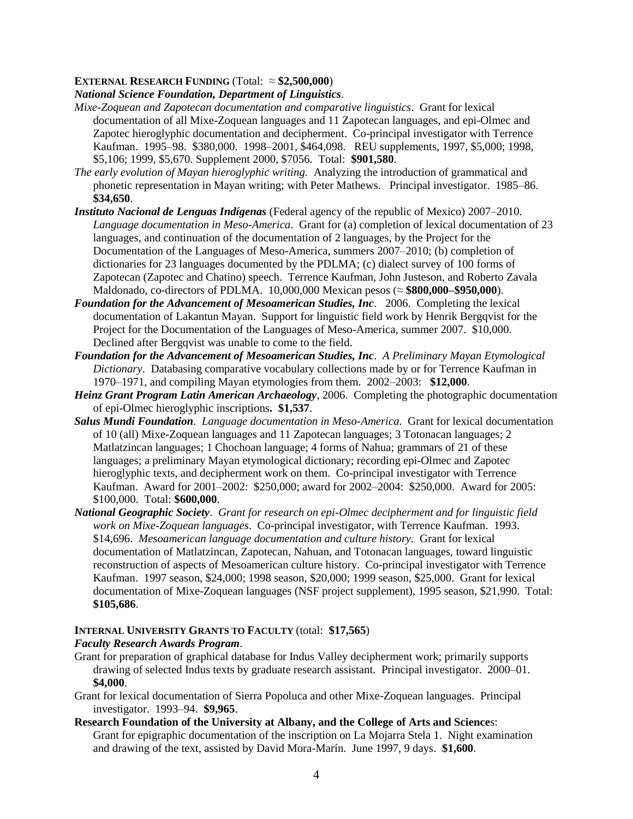# **EXTERNAL RESEARCH FUNDING** (Total:  $\approx$  **\$2,500,000**)

*National Science Foundation, Department of Linguistics*.

- *Mixe-Zoquean and Zapotecan documentation and comparative linguistics*. Grant for lexical documentation of all Mixe-Zoquean languages and 11 Zapotecan languages, and epi-Olmec and Zapotec hieroglyphic documentation and decipherment. Co-principal investigator with Terrence Kaufman. 1995–98. \$380,000. 1998–2001, \$464,098. REU supplements, 1997, \$5,000; 1998, \$5,106; 1999, \$5,670. Supplement 2000, \$7056. Total: **\$901,580**.
- *The early evolution of Mayan hieroglyphic writing.* Analyzing the introduction of grammatical and phonetic representation in Mayan writing; with Peter Mathews. Principal investigator. 1985–86. **\$34,650**.
- *Instituto Nacional de Lenguas Indígenas* (Federal agency of the republic of Mexico) 2007–2010. *Language documentation in Meso-America*. Grant for (a) completion of lexical documentation of 23 languages, and continuation of the documentation of 2 languages, by the Project for the Documentation of the Languages of Meso-America, summers 2007–2010; (b) completion of dictionaries for 23 languages documented by the PDLMA; (c) dialect survey of 100 forms of Zapotecan (Zapotec and Chatino) speech. Terrence Kaufman, John Justeson, and Roberto Zavala Maldonado, co-directors of PDLMA. 10,000,000 Mexican pesos (≈ **\$800,000–\$950,000**).
- *Foundation for the Advancement of Mesoamerican Studies, Inc*. 2006. Completing the lexical documentation of Lakantun Mayan. Support for linguistic field work by Henrik Bergqvist for the Project for the Documentation of the Languages of Meso-America, summer 2007. \$10,000. Declined after Bergqvist was unable to come to the field.
- *Foundation for the Advancement of Mesoamerican Studies, Inc*. *A Preliminary Mayan Etymological Dictionary*. Databasing comparative vocabulary collections made by or for Terrence Kaufman in 1970–1971, and compiling Mayan etymologies from them. 2002–2003: **\$12,000**.
- *Heinz Grant Program Latin American Archaeology*, 2006. Completing the photographic documentation of epi-Olmec hieroglyphic inscriptions**. \$1,537**.
- *Salus Mundi Foundation*. *Language documentation in Meso-America*. Grant for lexical documentation of 10 (all) Mixe-Zoquean languages and 11 Zapotecan languages; 3 Totonacan languages; 2 Matlatzincan languages; 1 Chochoan language; 4 forms of Nahua; grammars of 21 of these languages; a preliminary Mayan etymological dictionary; recording epi-Olmec and Zapotec hieroglyphic texts, and decipherment work on them. Co-principal investigator with Terrence Kaufman. Award for 2001–2002: \$250,000; award for 2002–2004: \$250,000. Award for 2005: \$100,000. Total: **\$600,000**.
- *National Geographic Society*. *Grant for research on epi-Olmec decipherment and for linguistic field work on Mixe-Zoquean languages*. Co-principal investigator, with Terrence Kaufman. 1993. \$14,696. *Mesoamerican language documentation and culture history.* Grant for lexical documentation of Matlatzincan, Zapotecan, Nahuan, and Totonacan languages, toward linguistic reconstruction of aspects of Mesoamerican culture history. Co-principal investigator with Terrence Kaufman. 1997 season, \$24,000; 1998 season, \$20,000; 1999 season, \$25,000. Grant for lexical documentation of Mixe-Zoquean languages (NSF project supplement), 1995 season, \$21,990. Total: **\$105,686**.

# **INTERNAL UNIVERSITY GRANTS TO FACULTY** (total: **\$17,565**)

### *Faculty Research Awards Program*.

- Grant for preparation of graphical database for Indus Valley decipherment work; primarily supports drawing of selected Indus texts by graduate research assistant. Principal investigator. 2000–01. **\$4,000**.
- Grant for lexical documentation of Sierra Popoluca and other Mixe-Zoquean languages. Principal investigator. 1993–94. **\$9,965**.
- **Research Foundation of the University at Albany, and the College of Arts and Science**s: Grant for epigraphic documentation of the inscription on La Mojarra Stela 1. Night examination and drawing of the text, assisted by David Mora-Marín. June 1997, 9 days. **\$1,600**.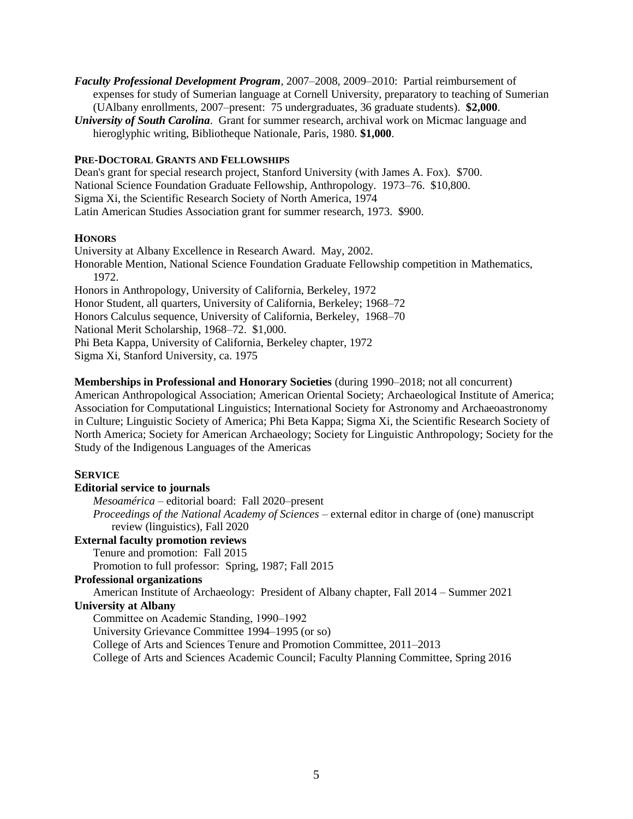- *Faculty Professional Development Program*, 2007–2008, 2009–2010: Partial reimbursement of expenses for study of Sumerian language at Cornell University, preparatory to teaching of Sumerian (UAlbany enrollments, 2007–present: 75 undergraduates, 36 graduate students). **\$2,000**.
- *University of South Carolina*. Grant for summer research, archival work on Micmac language and hieroglyphic writing, Bibliotheque Nationale, Paris, 1980. **\$1,000**.

#### **PRE-DOCTORAL GRANTS AND FELLOWSHIPS**

Dean's grant for special research project, Stanford University (with James A. Fox). \$700. National Science Foundation Graduate Fellowship, Anthropology. 1973–76. \$10,800. Sigma Xi, the Scientific Research Society of North America, 1974 Latin American Studies Association grant for summer research, 1973. \$900.

## **HONORS**

University at Albany Excellence in Research Award. May, 2002. Honorable Mention, National Science Foundation Graduate Fellowship competition in Mathematics, 1972. Honors in Anthropology, University of California, Berkeley, 1972 Honor Student, all quarters, University of California, Berkeley; 1968–72 Honors Calculus sequence, University of California, Berkeley, 1968–70 National Merit Scholarship, 1968–72. \$1,000. Phi Beta Kappa, University of California, Berkeley chapter, 1972

Sigma Xi, Stanford University, ca. 1975

## **Memberships in Professional and Honorary Societies** (during 1990–2018; not all concurrent)

American Anthropological Association; American Oriental Society; Archaeological Institute of America; Association for Computational Linguistics; International Society for Astronomy and Archaeoastronomy in Culture; Linguistic Society of America; Phi Beta Kappa; Sigma Xi, the Scientific Research Society of North America; Society for American Archaeology; Society for Linguistic Anthropology; Society for the Study of the Indigenous Languages of the Americas

# **SERVICE**

### **Editorial service to journals**

*Mesoamérica* – editorial board: Fall 2020–present

*Proceedings of the National Academy of Sciences* – external editor in charge of (one) manuscript review (linguistics), Fall 2020

#### **External faculty promotion reviews**

Tenure and promotion: Fall 2015

Promotion to full professor: Spring, 1987; Fall 2015

# **Professional organizations**

American Institute of Archaeology: President of Albany chapter, Fall 2014 – Summer 2021 **University at Albany**

Committee on Academic Standing, 1990–1992

University Grievance Committee 1994–1995 (or so)

College of Arts and Sciences Tenure and Promotion Committee, 2011–2013

College of Arts and Sciences Academic Council; Faculty Planning Committee, Spring 2016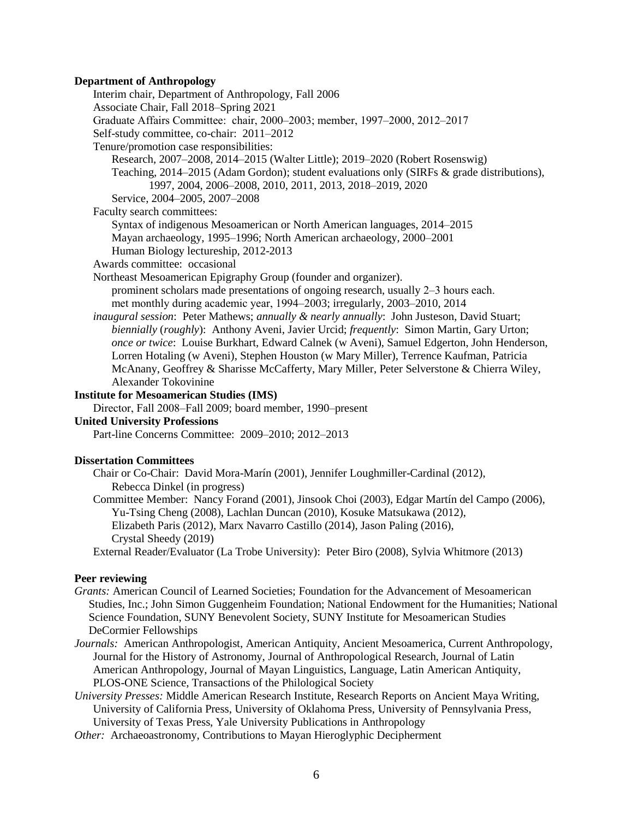#### **Department of Anthropology**

Interim chair, Department of Anthropology, Fall 2006 Associate Chair, Fall 2018–Spring 2021 Graduate Affairs Committee: chair, 2000–2003; member, 1997–2000, 2012–2017 Self-study committee, co-chair: 2011–2012 Tenure/promotion case responsibilities: Research, 2007–2008, 2014–2015 (Walter Little); 2019–2020 (Robert Rosenswig) Teaching, 2014–2015 (Adam Gordon); student evaluations only (SIRFs & grade distributions), 1997, 2004, 2006–2008, 2010, 2011, 2013, 2018–2019, 2020 Service, 2004–2005, 2007–2008 Faculty search committees: Syntax of indigenous Mesoamerican or North American languages, 2014–2015 Mayan archaeology, 1995–1996; North American archaeology, 2000–2001 Human Biology lectureship, 2012-2013 Awards committee: occasional Northeast Mesoamerican Epigraphy Group (founder and organizer). prominent scholars made presentations of ongoing research, usually 2–3 hours each. met monthly during academic year, 1994–2003; irregularly, 2003–2010, 2014 *inaugural session*: Peter Mathews; *annually & nearly annually*: John Justeson, David Stuart; *biennially* (*roughly*): Anthony Aveni, Javier Urcid; *frequently*: Simon Martin, Gary Urton; *once or twice*: Louise Burkhart, Edward Calnek (w Aveni), Samuel Edgerton, John Henderson, Lorren Hotaling (w Aveni), Stephen Houston (w Mary Miller), Terrence Kaufman, Patricia McAnany, Geoffrey & Sharisse McCafferty, Mary Miller, Peter Selverstone & Chierra Wiley, Alexander Tokovinine

## **Institute for Mesoamerican Studies (IMS)**

Director, Fall 2008–Fall 2009; board member, 1990–present

# **United University Professions**

Part-line Concerns Committee: 2009–2010; 2012–2013

#### **Dissertation Committees**

Chair or Co-Chair: David Mora-Marín (2001), Jennifer Loughmiller-Cardinal (2012), Rebecca Dinkel (in progress)

Committee Member: Nancy Forand (2001), Jinsook Choi (2003), Edgar Martín del Campo (2006), Yu-Tsing Cheng (2008), Lachlan Duncan (2010), Kosuke Matsukawa (2012), Elizabeth Paris (2012), Marx Navarro Castillo (2014), Jason Paling (2016), Crystal Sheedy (2019)

External Reader/Evaluator (La Trobe University): Peter Biro (2008), Sylvia Whitmore (2013)

#### **Peer reviewing**

- *Grants:* American Council of Learned Societies; Foundation for the Advancement of Mesoamerican Studies, Inc.; John Simon Guggenheim Foundation; National Endowment for the Humanities; National Science Foundation, SUNY Benevolent Society, SUNY Institute for Mesoamerican Studies DeCormier Fellowships
- *Journals:* American Anthropologist, American Antiquity, Ancient Mesoamerica, Current Anthropology, Journal for the History of Astronomy, Journal of Anthropological Research, Journal of Latin American Anthropology, Journal of Mayan Linguistics, Language, Latin American Antiquity, PLOS-ONE Science, Transactions of the Philological Society
- *University Presses:* Middle American Research Institute, Research Reports on Ancient Maya Writing, University of California Press, University of Oklahoma Press, University of Pennsylvania Press, University of Texas Press, Yale University Publications in Anthropology
- *Other:* Archaeoastronomy, Contributions to Mayan Hieroglyphic Decipherment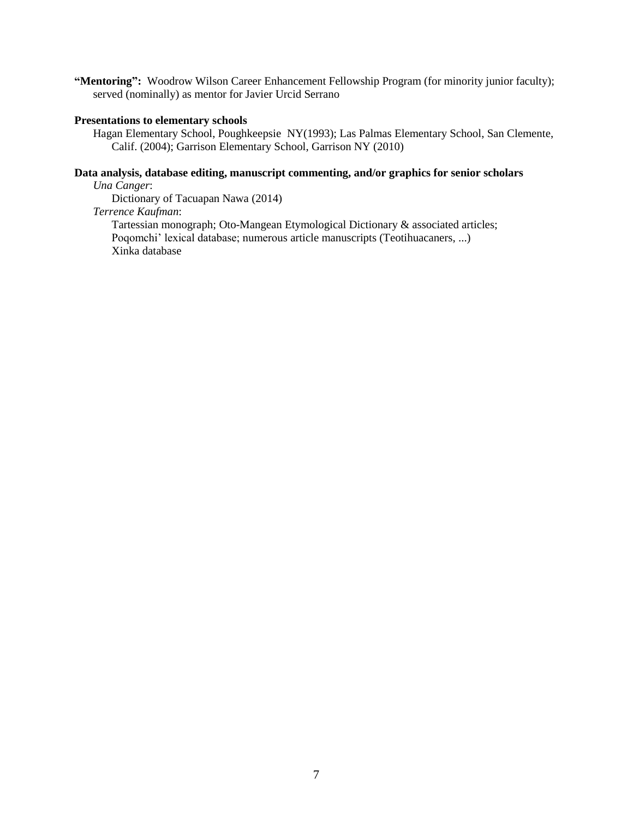**"Mentoring":** Woodrow Wilson Career Enhancement Fellowship Program (for minority junior faculty); served (nominally) as mentor for Javier Urcid Serrano

#### **Presentations to elementary schools**

Hagan Elementary School, Poughkeepsie NY(1993); Las Palmas Elementary School, San Clemente, Calif. (2004); Garrison Elementary School, Garrison NY (2010)

# **Data analysis, database editing, manuscript commenting, and/or graphics for senior scholars**

*Una Canger*:

Dictionary of Tacuapan Nawa (2014)

# *Terrence Kaufman*:

Tartessian monograph; Oto-Mangean Etymological Dictionary & associated articles; Poqomchi' lexical database; numerous article manuscripts (Teotihuacaners, ...) Xinka database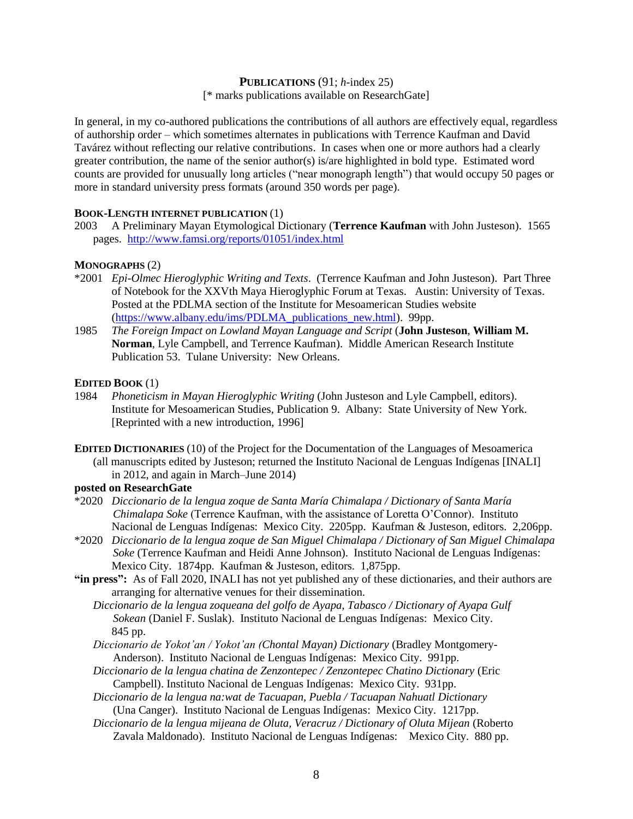#### **PUBLICATIONS** (91; *h-*index 25) [\* marks publications available on ResearchGate]

In general, in my co-authored publications the contributions of all authors are effectively equal, regardless of authorship order – which sometimes alternates in publications with Terrence Kaufman and David Tavárez without reflecting our relative contributions. In cases when one or more authors had a clearly greater contribution, the name of the senior author(s) is/are highlighted in bold type. Estimated word counts are provided for unusually long articles ("near monograph length") that would occupy 50 pages or more in standard university press formats (around 350 words per page).

## **BOOK-LENGTH INTERNET PUBLICATION** (1)

2003 A Preliminary Mayan Etymological Dictionary (**Terrence Kaufman** with John Justeson). 1565 pages. <http://www.famsi.org/reports/01051/index.html>

## **MONOGRAPHS** (2)

- \*2001 *Epi-Olmec Hieroglyphic Writing and Texts*. (Terrence Kaufman and John Justeson). Part Three of Notebook for the XXVth Maya Hieroglyphic Forum at Texas. Austin: University of Texas. Posted at the PDLMA section of the Institute for Mesoamerican Studies website [\(https://www.albany.edu/ims/PDLMA\\_publications\\_new.html\)](https://www.albany.edu/ims/PDLMA_publications_new.html). 99pp.
- 1985 *The Foreign Impact on Lowland Mayan Language and Script* (**John Justeson**, **William M. Norman**, Lyle Campbell, and Terrence Kaufman). Middle American Research Institute Publication 53. Tulane University: New Orleans.

#### **EDITED BOOK** (1)

- 1984 *Phoneticism in Mayan Hieroglyphic Writing* (John Justeson and Lyle Campbell, editors). Institute for Mesoamerican Studies, Publication 9. Albany: State University of New York. [Reprinted with a new introduction, 1996]
- **EDITED DICTIONARIES** (10) of the Project for the Documentation of the Languages of Mesoamerica (all manuscripts edited by Justeson; returned the Instituto Nacional de Lenguas Indígenas [INALI] in 2012, and again in March–June 2014)

# **posted on ResearchGate**

- \*2020 *Diccionario de la lengua zoque de Santa María Chimalapa / Dictionary of Santa María Chimalapa Soke* (Terrence Kaufman, with the assistance of Loretta O'Connor). Instituto Nacional de Lenguas Indígenas: Mexico City. 2205pp. Kaufman & Justeson, editors. 2,206pp.
- \*2020 *Diccionario de la lengua zoque de San Miguel Chimalapa / Dictionary of San Miguel Chimalapa Soke* (Terrence Kaufman and Heidi Anne Johnson). Instituto Nacional de Lenguas Indígenas: Mexico City. 1874pp. Kaufman & Justeson, editors. 1,875pp.
- **"in press":** As of Fall 2020, INALI has not yet published any of these dictionaries, and their authors are arranging for alternative venues for their dissemination.
	- *Diccionario de la lengua zoqueana del golfo de Ayapa, Tabasco / Dictionary of Ayapa Gulf Sokean* (Daniel F. Suslak). Instituto Nacional de Lenguas Indígenas: Mexico City. 845 pp.
	- *Diccionario de Yokot'an / Yokot'an (Chontal Mayan) Dictionary* (Bradley Montgomery- Anderson). Instituto Nacional de Lenguas Indígenas: Mexico City. 991pp.
	- *Diccionario de la lengua chatina de Zenzontepec / Zenzontepec Chatino Dictionary* (Eric Campbell). Instituto Nacional de Lenguas Indígenas: Mexico City. 931pp.
	- *Diccionario de la lengua na:wat de Tacuapan, Puebla / Tacuapan Nahuatl Dictionary* (Una Canger). Instituto Nacional de Lenguas Indígenas: Mexico City. 1217pp.
	- *Diccionario de la lengua mijeana de Oluta, Veracruz / Dictionary of Oluta Mijean* (Roberto Zavala Maldonado). Instituto Nacional de Lenguas Indígenas: Mexico City. 880 pp.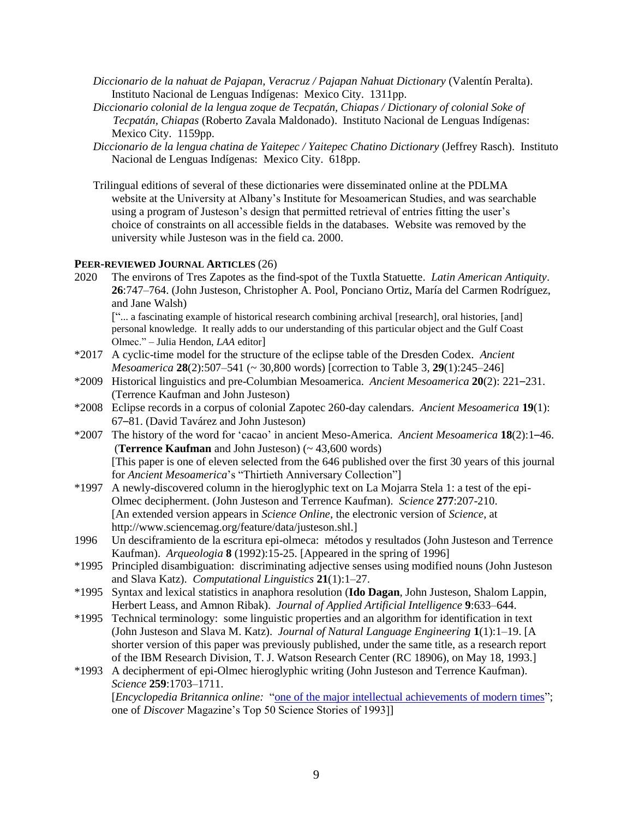- *Diccionario de la nahuat de Pajapan, Veracruz / Pajapan Nahuat Dictionary* (Valentín Peralta). Instituto Nacional de Lenguas Indígenas: Mexico City. 1311pp.
- *Diccionario colonial de la lengua zoque de Tecpatán, Chiapas / Dictionary of colonial Soke of Tecpatán, Chiapas* (Roberto Zavala Maldonado). Instituto Nacional de Lenguas Indígenas: Mexico City. 1159pp.
- *Diccionario de la lengua chatina de Yaitepec / Yaitepec Chatino Dictionary* (Jeffrey Rasch). Instituto Nacional de Lenguas Indígenas: Mexico City. 618pp.
- Trilingual editions of several of these dictionaries were disseminated online at the PDLMA website at the University at Albany's Institute for Mesoamerican Studies, and was searchable using a program of Justeson's design that permitted retrieval of entries fitting the user's choice of constraints on all accessible fields in the databases. Website was removed by the university while Justeson was in the field ca. 2000.

# **PEER-REVIEWED JOURNAL ARTICLES** (26)

2020 The environs of Tres Zapotes as the find-spot of the Tuxtla Statuette. *Latin American Antiquity*. **26**:747–764. (John Justeson, Christopher A. Pool, Ponciano Ortiz, María del Carmen Rodríguez, and Jane Walsh)

["... a fascinating example of historical research combining archival [research], oral histories, [and] personal knowledge. It really adds to our understanding of this particular object and the Gulf Coast Olmec." – Julia Hendon, *LAA* editor]

- \*2017 A cyclic-time model for the structure of the eclipse table of the Dresden Codex. *Ancient Mesoamerica* **28**(2):507–541 (~ 30,800 words) [correction to Table 3, **29**(1):245–246]
- \*2009 Historical linguistics and pre-Columbian Mesoamerica. *Ancient Mesoamerica* **20**(2): 221–231. (Terrence Kaufman and John Justeson)
- \*2008 Eclipse records in a corpus of colonial Zapotec 260-day calendars. *Ancient Mesoamerica* **19**(1): 67–81. (David Tavárez and John Justeson)
- \*2007 The history of the word for 'cacao' in ancient Meso-America. *Ancient Mesoamerica* **18**(2):1–46. (**Terrence Kaufman** and John Justeson) (~ 43,600 words) [This paper is one of eleven selected from the 646 published over the first 30 years of this journal for *Ancient Mesoamerica*'s "Thirtieth Anniversary Collection"]
- \*1997 A newly-discovered column in the hieroglyphic text on La Mojarra Stela 1: a test of the epi-Olmec decipherment. (John Justeson and Terrence Kaufman). *Science* **277**:207-210. [An extended version appears in *Science Online*, the electronic version of *Science*, at http://www.sciencemag.org/feature/data/justeson.shl.]
- 1996 Un desciframiento de la escritura epi-olmeca: métodos y resultados (John Justeson and Terrence Kaufman). *Arqueologia* **8** (1992):15-25. [Appeared in the spring of 1996]
- \*1995 Principled disambiguation: discriminating adjective senses using modified nouns (John Justeson and Slava Katz). *Computational Linguistics* **21**(1):1–27.
- \*1995 Syntax and lexical statistics in anaphora resolution (**Ido Dagan**, John Justeson, Shalom Lappin, Herbert Leass, and Amnon Ribak). *Journal of Applied Artificial Intelligence* **9**:633–644.
- \*1995 Technical terminology: some linguistic properties and an algorithm for identification in text (John Justeson and Slava M. Katz). *Journal of Natural Language Engineering* **1**(1):1–19. [A shorter version of this paper was previously published, under the same title, as a research report of the IBM Research Division, T. J. Watson Research Center (RC 18906), on May 18, 1993.]
- \*1993 A decipherment of epi-Olmec hieroglyphic writing (John Justeson and Terrence Kaufman). *Science* **259**:1703–1711.

[*Encyclopedia Britannica online:* ["one of the major intellectual achievements of modern times"](https://www.britannica.com/topic/Mesoamerican-Indian-languages/Mesoamerican-writing-systems); one of *Discover* Magazine's Top 50 Science Stories of 1993]]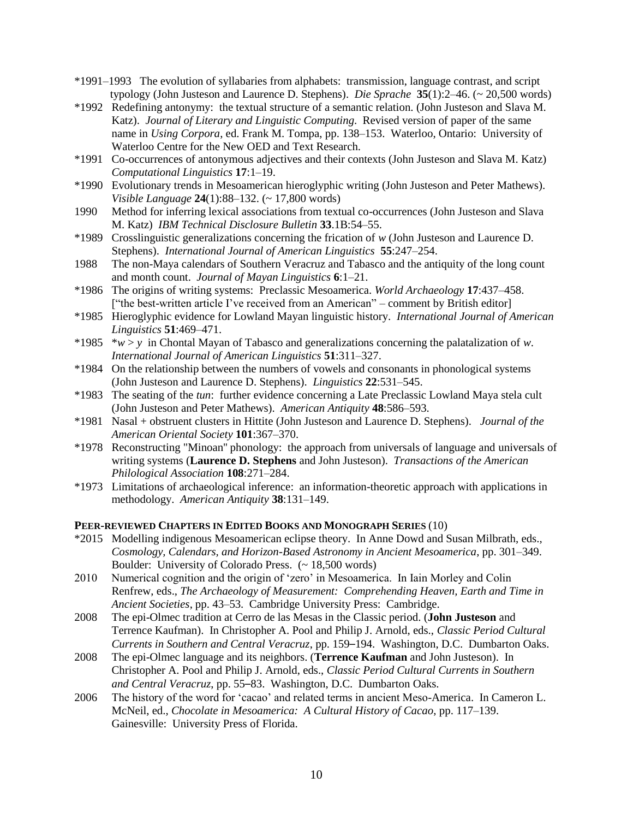- \*1991–1993 The evolution of syllabaries from alphabets: transmission, language contrast, and script typology (John Justeson and Laurence D. Stephens). *Die Sprache* **35**(1):2–46. (~ 20,500 words)
- \*1992 Redefining antonymy: the textual structure of a semantic relation. (John Justeson and Slava M. Katz). *Journal of Literary and Linguistic Computing*. Revised version of paper of the same name in *Using Corpora*, ed. Frank M. Tompa, pp. 138–153. Waterloo, Ontario: University of Waterloo Centre for the New OED and Text Research.
- \*1991 Co-occurrences of antonymous adjectives and their contexts (John Justeson and Slava M. Katz) *Computational Linguistics* **17**:1–19.
- \*1990 Evolutionary trends in Mesoamerican hieroglyphic writing (John Justeson and Peter Mathews). *Visible Language* **24**(1):88–132. (~ 17,800 words)
- 1990 Method for inferring lexical associations from textual co-occurrences (John Justeson and Slava M. Katz) *IBM Technical Disclosure Bulletin* **33**.1B:54–55.
- \*1989 Crosslinguistic generalizations concerning the frication of *w* (John Justeson and Laurence D. Stephens). *International Journal of American Linguistics* **55**:247–254.
- 1988 The non-Maya calendars of Southern Veracruz and Tabasco and the antiquity of the long count and month count. *Journal of Mayan Linguistics* **6**:1–21.
- \*1986 The origins of writing systems: Preclassic Mesoamerica. *World Archaeology* **17**:437–458. ["the best-written article I've received from an American" – comment by British editor]
- \*1985 Hieroglyphic evidence for Lowland Mayan linguistic history. *International Journal of American Linguistics* **51**:469–471.
- \*1985 \**w* > *y* in Chontal Mayan of Tabasco and generalizations concerning the palatalization of *w*. *International Journal of American Linguistics* **51**:311–327.
- \*1984 On the relationship between the numbers of vowels and consonants in phonological systems (John Justeson and Laurence D. Stephens). *Linguistics* **22**:531–545.
- \*1983 The seating of the *tun*: further evidence concerning a Late Preclassic Lowland Maya stela cult (John Justeson and Peter Mathews). *American Antiquity* **48**:586–593.
- \*1981 Nasal + obstruent clusters in Hittite (John Justeson and Laurence D. Stephens). *Journal of the American Oriental Society* **101**:367–370.
- \*1978 Reconstructing "Minoan'' phonology: the approach from universals of language and universals of writing systems (**Laurence D. Stephens** and John Justeson). *Transactions of the American Philological Association* **108**:271–284.
- \*1973 Limitations of archaeological inference: an information-theoretic approach with applications in methodology. *American Antiquity* **38**:131–149.

# **PEER-REVIEWED CHAPTERS IN EDITED BOOKS AND MONOGRAPH SERIES** (10)

- \*2015 Modelling indigenous Mesoamerican eclipse theory. In Anne Dowd and Susan Milbrath, eds., *Cosmology, Calendars, and Horizon-Based Astronomy in Ancient Mesoamerica*, pp. 301–349. Boulder: University of Colorado Press. (~ 18,500 words)
- 2010 Numerical cognition and the origin of 'zero' in Mesoamerica. In Iain Morley and Colin Renfrew, eds., *The Archaeology of Measurement: Comprehending Heaven, Earth and Time in Ancient Societies*, pp. 43–53. Cambridge University Press: Cambridge.
- 2008 The epi-Olmec tradition at Cerro de las Mesas in the Classic period. (**John Justeson** and Terrence Kaufman). In Christopher A. Pool and Philip J. Arnold, eds., *Classic Period Cultural Currents in Southern and Central Veracruz*, pp. 159–194. Washington, D.C. Dumbarton Oaks.
- 2008 The epi-Olmec language and its neighbors. (**Terrence Kaufman** and John Justeson). In Christopher A. Pool and Philip J. Arnold, eds., *Classic Period Cultural Currents in Southern and Central Veracruz*, pp. 55–83. Washington, D.C. Dumbarton Oaks.
- 2006 The history of the word for 'cacao' and related terms in ancient Meso-America. In Cameron L. McNeil, ed., *Chocolate in Mesoamerica: A Cultural History of Cacao*, pp. 117–139. Gainesville: University Press of Florida.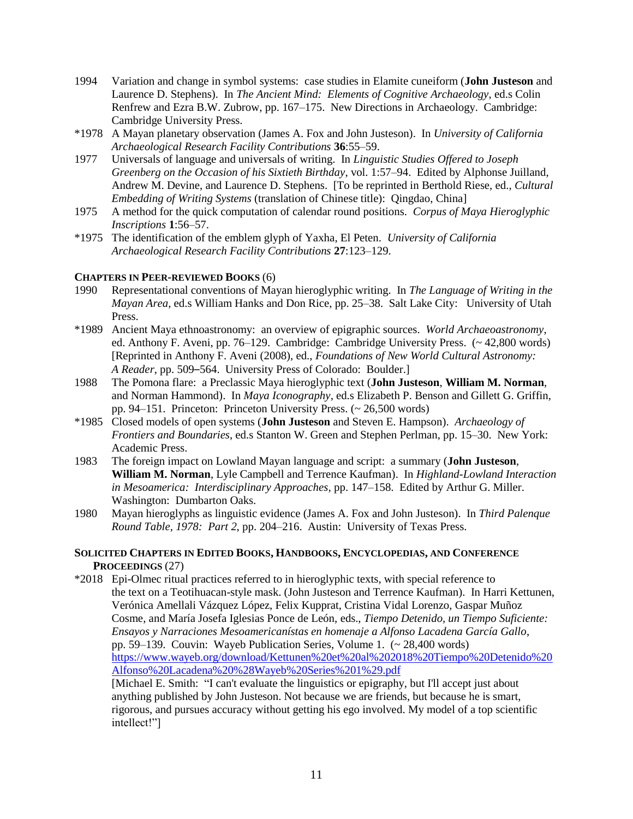- 1994 Variation and change in symbol systems: case studies in Elamite cuneiform (**John Justeson** and Laurence D. Stephens). In *The Ancient Mind: Elements of Cognitive Archaeology*, ed.s Colin Renfrew and Ezra B.W. Zubrow, pp. 167–175. New Directions in Archaeology. Cambridge: Cambridge University Press.
- \*1978 A Mayan planetary observation (James A. Fox and John Justeson). In *University of California Archaeological Research Facility Contributions* **36**:55–59.
- 1977 Universals of language and universals of writing. In *Linguistic Studies Offered to Joseph Greenberg on the Occasion of his Sixtieth Birthday*, vol. 1:57–94. Edited by Alphonse Juilland, Andrew M. Devine, and Laurence D. Stephens. [To be reprinted in Berthold Riese, ed., *Cultural Embedding of Writing Systems* (translation of Chinese title): Qingdao, China]
- 1975 A method for the quick computation of calendar round positions. *Corpus of Maya Hieroglyphic Inscriptions* **1**:56–57.
- \*1975 The identification of the emblem glyph of Yaxha, El Peten. *University of California Archaeological Research Facility Contributions* **27**:123–129.

## **CHAPTERS IN PEER-REVIEWED BOOKS** (6)

- 1990 Representational conventions of Mayan hieroglyphic writing. In *The Language of Writing in the Mayan Area*, ed.s William Hanks and Don Rice, pp. 25–38. Salt Lake City: University of Utah Press.
- \*1989 Ancient Maya ethnoastronomy: an overview of epigraphic sources. *World Archaeoastronomy*, ed. Anthony F. Aveni, pp. 76–129. Cambridge: Cambridge University Press. (~ 42,800 words) [Reprinted in Anthony F. Aveni (2008), ed., *Foundations of New World Cultural Astronomy: A Reader*, pp. 509–564. University Press of Colorado: Boulder.]
- 1988 The Pomona flare: a Preclassic Maya hieroglyphic text (**John Justeson**, **William M. Norman**, and Norman Hammond). In *Maya Iconography*, ed.s Elizabeth P. Benson and Gillett G. Griffin, pp. 94–151. Princeton: Princeton University Press. (~ 26,500 words)
- \*1985 Closed models of open systems (**John Justeson** and Steven E. Hampson). *Archaeology of Frontiers and Boundaries*, ed.s Stanton W. Green and Stephen Perlman, pp. 15–30. New York: Academic Press.
- 1983 The foreign impact on Lowland Mayan language and script: a summary (**John Justeson**, **William M. Norman**, Lyle Campbell and Terrence Kaufman). In *Highland-Lowland Interaction in Mesoamerica: Interdisciplinary Approaches,* pp. 147–158. Edited by Arthur G. Miller. Washington: Dumbarton Oaks.
- 1980 Mayan hieroglyphs as linguistic evidence (James A. Fox and John Justeson). In *Third Palenque Round Table, 1978: Part 2*, pp. 204–216. Austin: University of Texas Press.

# **SOLICITED CHAPTERS IN EDITED BOOKS, HANDBOOKS, ENCYCLOPEDIAS, AND CONFERENCE PROCEEDINGS** (27)

\*2018 Epi-Olmec ritual practices referred to in hieroglyphic texts, with special reference to the text on a Teotihuacan-style mask. (John Justeson and Terrence Kaufman). In Harri Kettunen, Verónica Amellali Vázquez López, Felix Kupprat, Cristina Vidal Lorenzo, Gaspar Muñoz Cosme, and María Josefa Iglesias Ponce de León, eds., *Tiempo Detenido, un Tiempo Suficiente: Ensayos y Narraciones Mesoamericanístas en homenaje a Alfonso Lacadena García Gallo*, pp. 59–139. Couvin: Wayeb Publication Series, Volume 1. (~ 28,400 words) [https://www.wayeb.org/download/Kettunen%20et%20al%202018%20Tiempo%20Detenido%20](https://www.wayeb.org/download/Kettunen%20et%20al%202018%20Tiempo%20Detenido%20Alfonso%20Lacadena%20%28Wayeb%20Series%201%29.pdf) [Alfonso%20Lacadena%20%28Wayeb%20Series%201%29.pdf](https://www.wayeb.org/download/Kettunen%20et%20al%202018%20Tiempo%20Detenido%20Alfonso%20Lacadena%20%28Wayeb%20Series%201%29.pdf) [Michael E. Smith: "I can't evaluate the linguistics or epigraphy, but I'll accept just about anything published by John Justeson. Not because we are friends, but because he is smart,

rigorous, and pursues accuracy without getting his ego involved. My model of a top scientific intellect!"]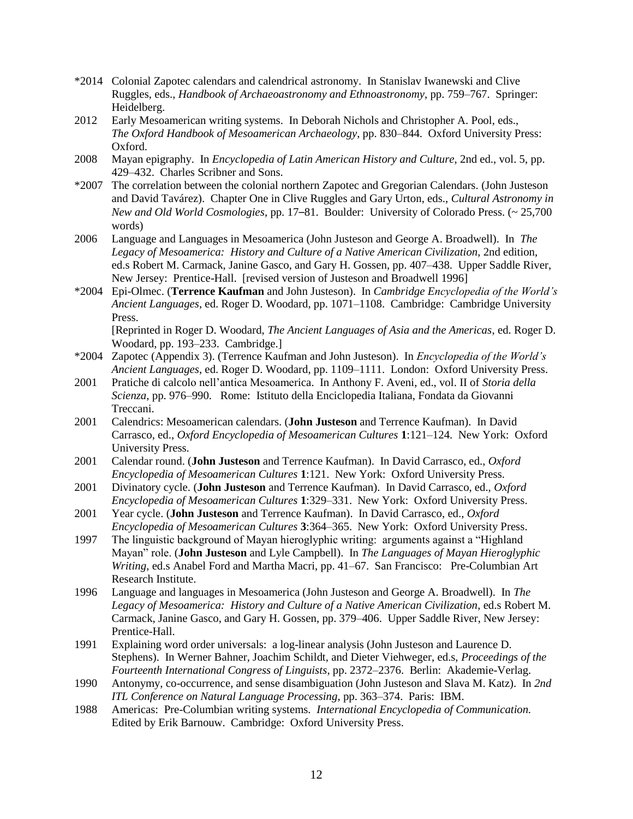- \*2014 Colonial Zapotec calendars and calendrical astronomy. In Stanislav Iwanewski and Clive Ruggles, eds., *Handbook of Archaeoastronomy and Ethnoastronomy*, pp. 759–767. Springer: Heidelberg.
- 2012 Early Mesoamerican writing systems. In Deborah Nichols and Christopher A. Pool, eds., *The Oxford Handbook of Mesoamerican Archaeology*, pp. 830–844. Oxford University Press: Oxford.
- 2008 Mayan epigraphy. In *Encyclopedia of Latin American History and Culture*, 2nd ed., vol. 5, pp. 429–432. Charles Scribner and Sons.
- \*2007 The correlation between the colonial northern Zapotec and Gregorian Calendars. (John Justeson and David Tavárez). Chapter One in Clive Ruggles and Gary Urton, eds., *Cultural Astronomy in New and Old World Cosmologies*, pp. 17–81. Boulder: University of Colorado Press. (~ 25,700 words)
- 2006 Language and Languages in Mesoamerica (John Justeson and George A. Broadwell). In *The Legacy of Mesoamerica: History and Culture of a Native American Civilization*, 2nd edition, ed.s Robert M. Carmack, Janine Gasco, and Gary H. Gossen, pp. 407–438. Upper Saddle River, New Jersey: Prentice-Hall. [revised version of Justeson and Broadwell 1996]
- \*2004 Epi-Olmec. (**Terrence Kaufman** and John Justeson). In *Cambridge Encyclopedia of the World's Ancient Languages*, ed. Roger D. Woodard, pp. 1071–1108. Cambridge: Cambridge University Press.

[Reprinted in Roger D. Woodard, *The Ancient Languages of Asia and the Americas*, ed. Roger D. Woodard, pp. 193–233. Cambridge.]

- \*2004 Zapotec (Appendix 3). (Terrence Kaufman and John Justeson). In *Encyclopedia of the World's Ancient Languages*, ed. Roger D. Woodard, pp. 1109–1111. London: Oxford University Press.
- 2001 Pratiche di calcolo nell'antica Mesoamerica. In Anthony F. Aveni, ed., vol. II of *Storia della Scienza*, pp. 976–990. Rome: Istituto della Enciclopedia Italiana, Fondata da Giovanni Treccani.
- 2001 Calendrics: Mesoamerican calendars. (**John Justeson** and Terrence Kaufman). In David Carrasco, ed., *Oxford Encyclopedia of Mesoamerican Cultures* **1**:121–124. New York: Oxford University Press.
- 2001 Calendar round. (**John Justeson** and Terrence Kaufman). In David Carrasco, ed., *Oxford Encyclopedia of Mesoamerican Cultures* **1**:121. New York: Oxford University Press.
- 2001 Divinatory cycle. (**John Justeson** and Terrence Kaufman). In David Carrasco, ed., *Oxford Encyclopedia of Mesoamerican Cultures* **1**:329–331. New York: Oxford University Press.
- 2001 Year cycle. (**John Justeson** and Terrence Kaufman). In David Carrasco, ed., *Oxford Encyclopedia of Mesoamerican Cultures* **3**:364–365. New York: Oxford University Press.
- 1997 The linguistic background of Mayan hieroglyphic writing: arguments against a "Highland Mayan" role. (**John Justeson** and Lyle Campbell). In *The Languages of Mayan Hieroglyphic Writing*, ed.s Anabel Ford and Martha Macri, pp. 41–67. San Francisco: Pre-Columbian Art Research Institute.
- 1996 Language and languages in Mesoamerica (John Justeson and George A. Broadwell). In *The Legacy of Mesoamerica: History and Culture of a Native American Civilization*, ed.s Robert M. Carmack, Janine Gasco, and Gary H. Gossen, pp. 379–406. Upper Saddle River, New Jersey: Prentice-Hall.
- 1991 Explaining word order universals: a log-linear analysis (John Justeson and Laurence D. Stephens). In Werner Bahner, Joachim Schildt, and Dieter Viehweger, ed.s, *Proceedings of the Fourteenth International Congress of Linguists*, pp. 2372–2376. Berlin: Akademie-Verlag.
- 1990 Antonymy, co-occurrence, and sense disambiguation (John Justeson and Slava M. Katz). In *2nd ITL Conference on Natural Language Processing*, pp. 363–374. Paris: IBM.
- 1988 Americas: Pre-Columbian writing systems. *International Encyclopedia of Communication.* Edited by Erik Barnouw. Cambridge: Oxford University Press.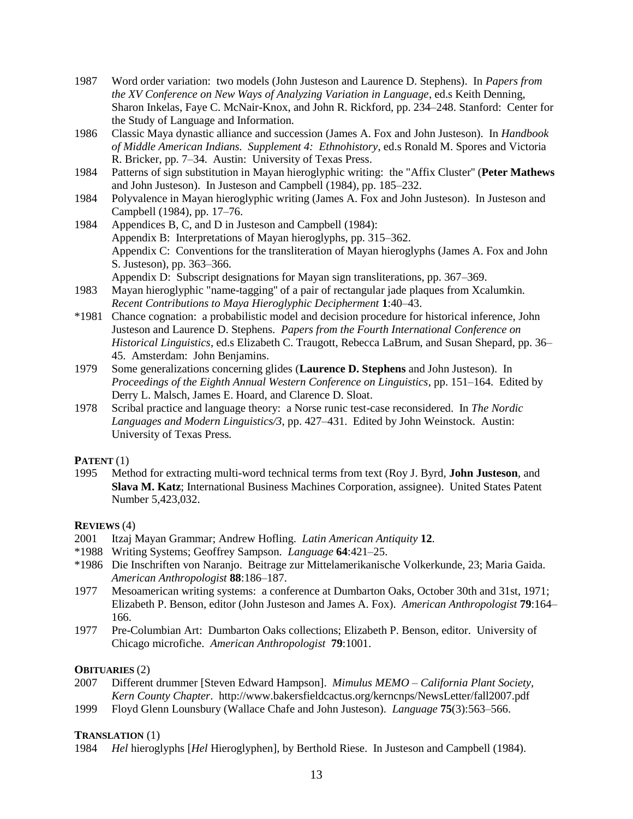- 1987 Word order variation: two models (John Justeson and Laurence D. Stephens). In *Papers from the XV Conference on New Ways of Analyzing Variation in Language*, ed.s Keith Denning, Sharon Inkelas, Faye C. McNair-Knox, and John R. Rickford, pp. 234–248. Stanford: Center for the Study of Language and Information.
- 1986 Classic Maya dynastic alliance and succession (James A. Fox and John Justeson). In *Handbook of Middle American Indians. Supplement 4: Ethnohistory*, ed.s Ronald M. Spores and Victoria R. Bricker, pp. 7–34. Austin: University of Texas Press.
- 1984 Patterns of sign substitution in Mayan hieroglyphic writing: the "Affix Cluster'' (**Peter Mathews** and John Justeson). In Justeson and Campbell (1984), pp. 185–232.
- 1984 Polyvalence in Mayan hieroglyphic writing (James A. Fox and John Justeson). In Justeson and Campbell (1984), pp. 17–76.
- 1984 Appendices B, C, and D in Justeson and Campbell (1984): Appendix B: Interpretations of Mayan hieroglyphs, pp. 315–362. Appendix C: Conventions for the transliteration of Mayan hieroglyphs (James A. Fox and John S. Justeson), pp. 363–366. Appendix D: Subscript designations for Mayan sign transliterations, pp. 367–369.
- 1983 Mayan hieroglyphic "name-tagging'' of a pair of rectangular jade plaques from Xcalumkin. *Recent Contributions to Maya Hieroglyphic Decipherment* **1**:40–43.
- \*1981 Chance cognation: a probabilistic model and decision procedure for historical inference, John Justeson and Laurence D. Stephens. *Papers from the Fourth International Conference on Historical Linguistics*, ed.s Elizabeth C. Traugott, Rebecca LaBrum, and Susan Shepard, pp. 36– 45. Amsterdam: John Benjamins.
- 1979 Some generalizations concerning glides (**Laurence D. Stephens** and John Justeson). In *Proceedings of the Eighth Annual Western Conference on Linguistics*, pp. 151–164. Edited by Derry L. Malsch, James E. Hoard, and Clarence D. Sloat.
- 1978 Scribal practice and language theory: a Norse runic test-case reconsidered. In *The Nordic Languages and Modern Linguistics/3*, pp. 427–431. Edited by John Weinstock. Austin: University of Texas Press.

# **PATENT** (1)

1995 Method for extracting multi-word technical terms from text (Roy J. Byrd, **John Justeson**, and **Slava M. Katz**; International Business Machines Corporation, assignee). United States Patent Number 5,423,032.

# **REVIEWS** (4)

- 2001 Itzaj Mayan Grammar; Andrew Hofling. *Latin American Antiquity* **12**.
- \*1988 Writing Systems; Geoffrey Sampson. *Language* **64**:421–25.
- \*1986 Die Inschriften von Naranjo. Beitrage zur Mittelamerikanische Volkerkunde, 23; Maria Gaida. *American Anthropologist* **88**:186–187.
- 1977 Mesoamerican writing systems: a conference at Dumbarton Oaks, October 30th and 31st, 1971; Elizabeth P. Benson, editor (John Justeson and James A. Fox). *American Anthropologist* **79**:164– 166.
- 1977 Pre-Columbian Art: Dumbarton Oaks collections; Elizabeth P. Benson, editor. University of Chicago microfiche. *American Anthropologist* **79**:1001.

# **OBITUARIES** (2)

- 2007 Different drummer [Steven Edward Hampson]. *Mimulus MEMO – California Plant Society, Kern County Chapter*. http://www.bakersfieldcactus.org/kerncnps/NewsLetter/fall2007.pdf
- 1999 Floyd Glenn Lounsbury (Wallace Chafe and John Justeson). *Language* **75**(3):563–566.

# **TRANSLATION** (1)

1984 *Hel* hieroglyphs [*Hel* Hieroglyphen], by Berthold Riese. In Justeson and Campbell (1984).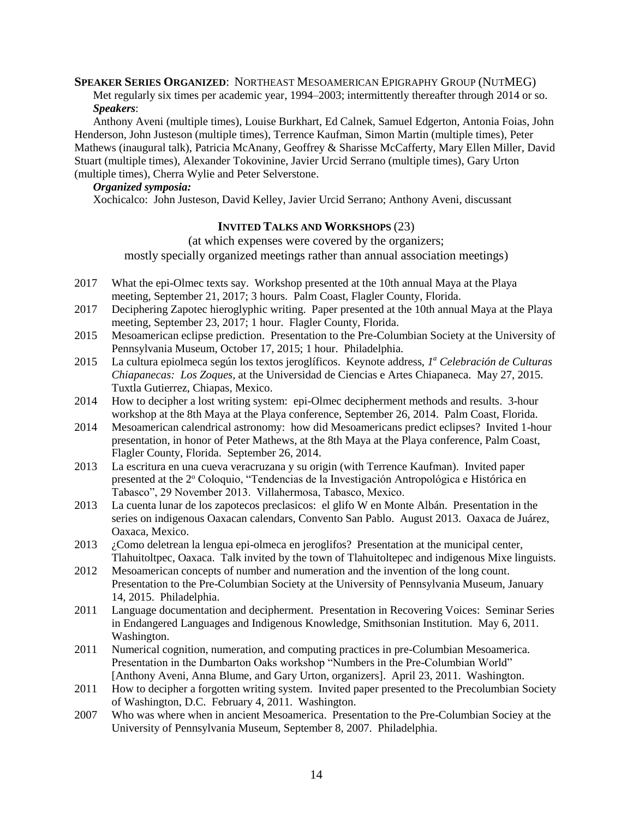**SPEAKER SERIES ORGANIZED**: NORTHEAST MESOAMERICAN EPIGRAPHY GROUP (NUTMEG) Met regularly six times per academic year, 1994–2003; intermittently thereafter through 2014 or so. *Speakers*:

Anthony Aveni (multiple times), Louise Burkhart, Ed Calnek, Samuel Edgerton, Antonia Foias, John Henderson, John Justeson (multiple times), Terrence Kaufman, Simon Martin (multiple times), Peter Mathews (inaugural talk), Patricia McAnany, Geoffrey & Sharisse McCafferty, Mary Ellen Miller, David Stuart (multiple times), Alexander Tokovinine, Javier Urcid Serrano (multiple times), Gary Urton (multiple times), Cherra Wylie and Peter Selverstone.

# *Organized symposia:*

Xochicalco: John Justeson, David Kelley, Javier Urcid Serrano; Anthony Aveni, discussant

# **INVITED TALKS AND WORKSHOPS** (23)

(at which expenses were covered by the organizers; mostly specially organized meetings rather than annual association meetings)

- 2017 What the epi-Olmec texts say. Workshop presented at the 10th annual Maya at the Playa meeting, September 21, 2017; 3 hours. Palm Coast, Flagler County, Florida.
- 2017 Deciphering Zapotec hieroglyphic writing. Paper presented at the 10th annual Maya at the Playa meeting, September 23, 2017; 1 hour. Flagler County, Florida.
- 2015 Mesoamerican eclipse prediction. Presentation to the Pre-Columbian Society at the University of Pennsylvania Museum, October 17, 2015; 1 hour. Philadelphia.
- 2015 La cultura epiolmeca según los textos jeroglíficos. Keynote address, *1 <sup>a</sup> Celebración de Culturas Chiapanecas: Los Zoques*, at the Universidad de Ciencias e Artes Chiapaneca. May 27, 2015. Tuxtla Gutierrez, Chiapas, Mexico.
- 2014 How to decipher a lost writing system: epi-Olmec decipherment methods and results. 3-hour workshop at the 8th Maya at the Playa conference, September 26, 2014. Palm Coast, Florida.
- 2014 Mesoamerican calendrical astronomy: how did Mesoamericans predict eclipses? Invited 1-hour presentation, in honor of Peter Mathews, at the 8th Maya at the Playa conference, Palm Coast, Flagler County, Florida. September 26, 2014.
- 2013 La escritura en una cueva veracruzana y su origin (with Terrence Kaufman). Invited paper presented at the 2<sup>o</sup> Coloquio, "Tendencias de la Investigación Antropológica e Histórica en Tabasco", 29 November 2013. Villahermosa, Tabasco, Mexico.
- 2013 La cuenta lunar de los zapotecos preclasicos: el glifo W en Monte Albán. Presentation in the series on indigenous Oaxacan calendars, Convento San Pablo. August 2013. Oaxaca de Juárez, Oaxaca, Mexico.
- 2013 ¿Como deletrean la lengua epi-olmeca en jeroglifos? Presentation at the municipal center, Tlahuitoltpec, Oaxaca. Talk invited by the town of Tlahuitoltepec and indigenous Mixe linguists.
- 2012 Mesoamerican concepts of number and numeration and the invention of the long count. Presentation to the Pre-Columbian Society at the University of Pennsylvania Museum, January 14, 2015. Philadelphia.
- 2011 Language documentation and decipherment. Presentation in Recovering Voices: Seminar Series in Endangered Languages and Indigenous Knowledge, Smithsonian Institution. May 6, 2011. Washington.
- 2011 Numerical cognition, numeration, and computing practices in pre-Columbian Mesoamerica. Presentation in the Dumbarton Oaks workshop "Numbers in the Pre-Columbian World" [Anthony Aveni, Anna Blume, and Gary Urton, organizers]. April 23, 2011. Washington.
- 2011 How to decipher a forgotten writing system. Invited paper presented to the Precolumbian Society of Washington, D.C. February 4, 2011. Washington.
- 2007 Who was where when in ancient Mesoamerica. Presentation to the Pre-Columbian Sociey at the University of Pennsylvania Museum, September 8, 2007. Philadelphia.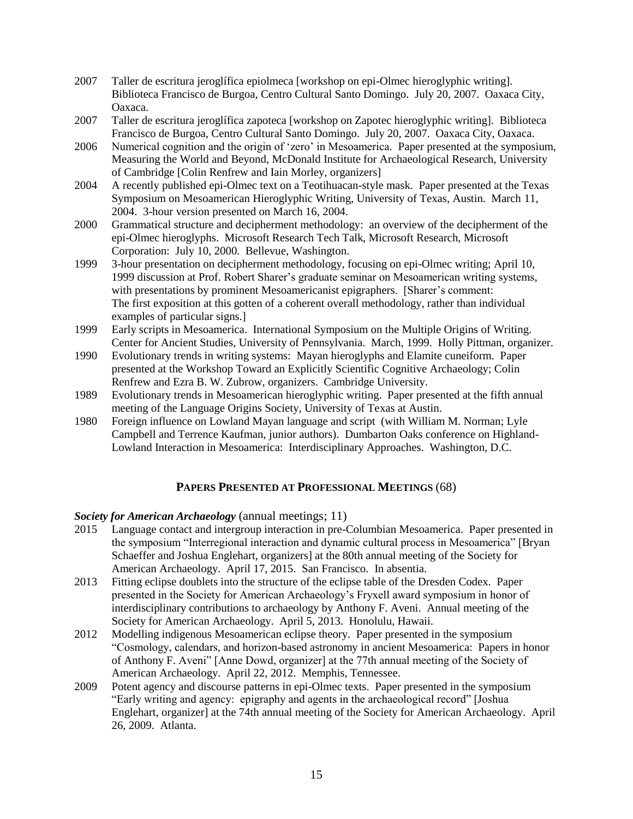- 2007 Taller de escritura jeroglífica epiolmeca [workshop on epi-Olmec hieroglyphic writing]. Biblioteca Francisco de Burgoa, Centro Cultural Santo Domingo. July 20, 2007. Oaxaca City, Oaxaca.
- 2007 Taller de escritura jeroglífica zapoteca [workshop on Zapotec hieroglyphic writing]. Biblioteca Francisco de Burgoa, Centro Cultural Santo Domingo. July 20, 2007. Oaxaca City, Oaxaca.
- 2006 Numerical cognition and the origin of 'zero' in Mesoamerica. Paper presented at the symposium, Measuring the World and Beyond, McDonald Institute for Archaeological Research, University of Cambridge [Colin Renfrew and Iain Morley, organizers]
- 2004 A recently published epi-Olmec text on a Teotihuacan-style mask. Paper presented at the Texas Symposium on Mesoamerican Hieroglyphic Writing, University of Texas, Austin. March 11, 2004. 3-hour version presented on March 16, 2004.
- 2000 Grammatical structure and decipherment methodology: an overview of the decipherment of the epi-Olmec hieroglyphs. Microsoft Research Tech Talk, Microsoft Research, Microsoft Corporation: July 10, 2000. Bellevue, Washington.
- 1999 3-hour presentation on decipherment methodology, focusing on epi-Olmec writing; April 10, 1999 discussion at Prof. Robert Sharer's graduate seminar on Mesoamerican writing systems, with presentations by prominent Mesoamericanist epigraphers. [Sharer's comment: The first exposition at this gotten of a coherent overall methodology, rather than individual examples of particular signs.]
- 1999 Early scripts in Mesoamerica. International Symposium on the Multiple Origins of Writing. Center for Ancient Studies, University of Pennsylvania. March, 1999. Holly Pittman, organizer.
- 1990 Evolutionary trends in writing systems: Mayan hieroglyphs and Elamite cuneiform. Paper presented at the Workshop Toward an Explicitly Scientific Cognitive Archaeology; Colin Renfrew and Ezra B. W. Zubrow, organizers. Cambridge University.
- 1989 Evolutionary trends in Mesoamerican hieroglyphic writing. Paper presented at the fifth annual meeting of the Language Origins Society, University of Texas at Austin.
- 1980 Foreign influence on Lowland Mayan language and script (with William M. Norman; Lyle Campbell and Terrence Kaufman, junior authors). Dumbarton Oaks conference on Highland-Lowland Interaction in Mesoamerica: Interdisciplinary Approaches. Washington, D.C.

# **PAPERS PRESENTED AT PROFESSIONAL MEETINGS** (68)

# *Society for American Archaeology* (annual meetings; 11)

- 2015 Language contact and intergroup interaction in pre-Columbian Mesoamerica. Paper presented in the symposium "Interregional interaction and dynamic cultural process in Mesoamerica" [Bryan Schaeffer and Joshua Englehart, organizers] at the 80th annual meeting of the Society for American Archaeology. April 17, 2015. San Francisco. In absentia.
- 2013 Fitting eclipse doublets into the structure of the eclipse table of the Dresden Codex. Paper presented in the Society for American Archaeology's Fryxell award symposium in honor of interdisciplinary contributions to archaeology by Anthony F. Aveni. Annual meeting of the Society for American Archaeology. April 5, 2013. Honolulu, Hawaii.
- 2012 Modelling indigenous Mesoamerican eclipse theory. Paper presented in the symposium "Cosmology, calendars, and horizon-based astronomy in ancient Mesoamerica: Papers in honor of Anthony F. Aveni" [Anne Dowd, organizer] at the 77th annual meeting of the Society of American Archaeology. April 22, 2012. Memphis, Tennessee.
- 2009 Potent agency and discourse patterns in epi-Olmec texts. Paper presented in the symposium "Early writing and agency: epigraphy and agents in the archaeological record" [Joshua Englehart, organizer] at the 74th annual meeting of the Society for American Archaeology. April 26, 2009. Atlanta.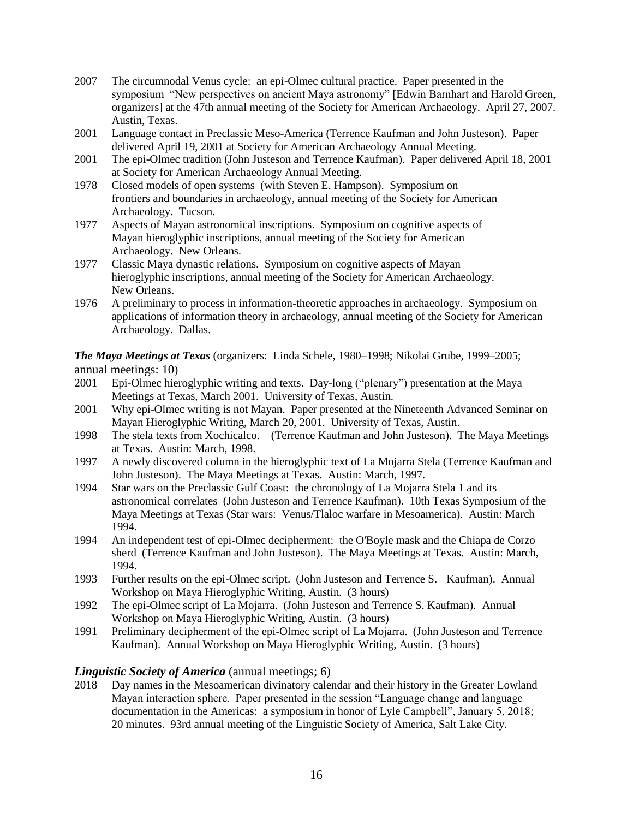- 2007 The circumnodal Venus cycle: an epi-Olmec cultural practice. Paper presented in the symposium "New perspectives on ancient Maya astronomy" [Edwin Barnhart and Harold Green, organizers] at the 47th annual meeting of the Society for American Archaeology. April 27, 2007. Austin, Texas.
- 2001 Language contact in Preclassic Meso-America (Terrence Kaufman and John Justeson). Paper delivered April 19, 2001 at Society for American Archaeology Annual Meeting.
- 2001 The epi-Olmec tradition (John Justeson and Terrence Kaufman). Paper delivered April 18, 2001 at Society for American Archaeology Annual Meeting.
- 1978 Closed models of open systems (with Steven E. Hampson). Symposium on frontiers and boundaries in archaeology, annual meeting of the Society for American Archaeology. Tucson.
- 1977 Aspects of Mayan astronomical inscriptions. Symposium on cognitive aspects of Mayan hieroglyphic inscriptions, annual meeting of the Society for American Archaeology. New Orleans.
- 1977 Classic Maya dynastic relations. Symposium on cognitive aspects of Mayan hieroglyphic inscriptions, annual meeting of the Society for American Archaeology. New Orleans.
- 1976 A preliminary to process in information-theoretic approaches in archaeology. Symposium on applications of information theory in archaeology, annual meeting of the Society for American Archaeology. Dallas.

*The Maya Meetings at Texas* (organizers: Linda Schele, 1980–1998; Nikolai Grube, 1999–2005; annual meetings: 10)

- 2001 Epi-Olmec hieroglyphic writing and texts. Day-long ("plenary") presentation at the Maya Meetings at Texas, March 2001. University of Texas, Austin.
- 2001 Why epi-Olmec writing is not Mayan. Paper presented at the Nineteenth Advanced Seminar on Mayan Hieroglyphic Writing, March 20, 2001. University of Texas, Austin.
- 1998 The stela texts from Xochicalco. (Terrence Kaufman and John Justeson). The Maya Meetings at Texas. Austin: March, 1998.
- 1997 A newly discovered column in the hieroglyphic text of La Mojarra Stela (Terrence Kaufman and John Justeson). The Maya Meetings at Texas. Austin: March, 1997.
- 1994 Star wars on the Preclassic Gulf Coast: the chronology of La Mojarra Stela 1 and its astronomical correlates (John Justeson and Terrence Kaufman). 10th Texas Symposium of the Maya Meetings at Texas (Star wars: Venus/Tlaloc warfare in Mesoamerica). Austin: March 1994.
- 1994 An independent test of epi-Olmec decipherment: the O'Boyle mask and the Chiapa de Corzo sherd (Terrence Kaufman and John Justeson). The Maya Meetings at Texas. Austin: March, 1994.
- 1993 Further results on the epi-Olmec script. (John Justeson and Terrence S. Kaufman). Annual Workshop on Maya Hieroglyphic Writing, Austin. (3 hours)
- 1992 The epi-Olmec script of La Mojarra. (John Justeson and Terrence S. Kaufman). Annual Workshop on Maya Hieroglyphic Writing, Austin. (3 hours)
- 1991 Preliminary decipherment of the epi-Olmec script of La Mojarra. (John Justeson and Terrence Kaufman). Annual Workshop on Maya Hieroglyphic Writing, Austin. (3 hours)

# *Linguistic Society of America* (annual meetings; 6)

2018 Day names in the Mesoamerican divinatory calendar and their history in the Greater Lowland Mayan interaction sphere. Paper presented in the session "Language change and language documentation in the Americas: a symposium in honor of Lyle Campbell", January 5, 2018; 20 minutes. 93rd annual meeting of the Linguistic Society of America, Salt Lake City.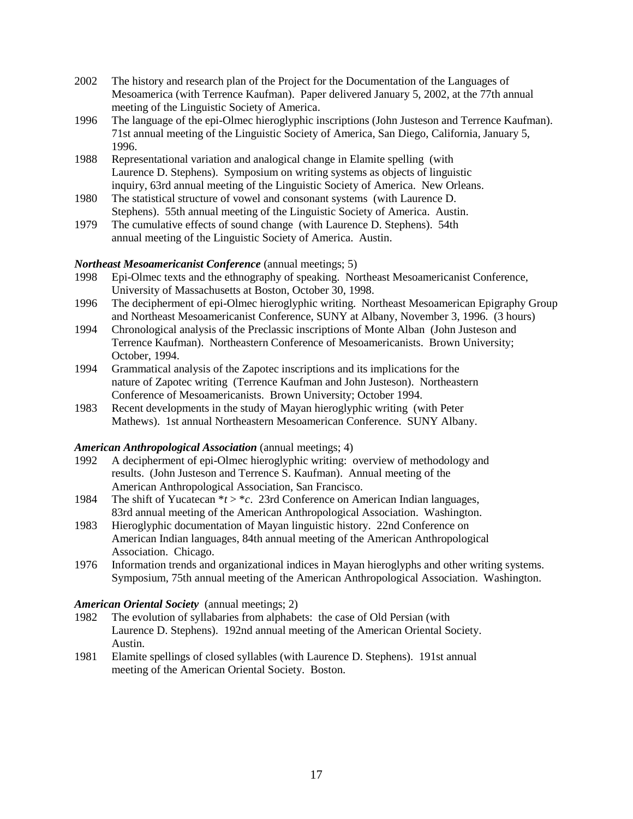- 2002 The history and research plan of the Project for the Documentation of the Languages of Mesoamerica (with Terrence Kaufman). Paper delivered January 5, 2002, at the 77th annual meeting of the Linguistic Society of America.
- 1996 The language of the epi-Olmec hieroglyphic inscriptions (John Justeson and Terrence Kaufman). 71st annual meeting of the Linguistic Society of America, San Diego, California, January 5, 1996.
- 1988 Representational variation and analogical change in Elamite spelling (with Laurence D. Stephens). Symposium on writing systems as objects of linguistic inquiry, 63rd annual meeting of the Linguistic Society of America. New Orleans.
- 1980 The statistical structure of vowel and consonant systems (with Laurence D. Stephens). 55th annual meeting of the Linguistic Society of America. Austin.
- 1979 The cumulative effects of sound change (with Laurence D. Stephens). 54th annual meeting of the Linguistic Society of America. Austin.

# *Northeast Mesoamericanist Conference* (annual meetings; 5)

- 1998 Epi-Olmec texts and the ethnography of speaking. Northeast Mesoamericanist Conference, University of Massachusetts at Boston, October 30, 1998.
- 1996 The decipherment of epi-Olmec hieroglyphic writing. Northeast Mesoamerican Epigraphy Group and Northeast Mesoamericanist Conference, SUNY at Albany, November 3, 1996. (3 hours)
- 1994 Chronological analysis of the Preclassic inscriptions of Monte Alban (John Justeson and Terrence Kaufman). Northeastern Conference of Mesoamericanists. Brown University; October, 1994.
- 1994 Grammatical analysis of the Zapotec inscriptions and its implications for the nature of Zapotec writing (Terrence Kaufman and John Justeson). Northeastern Conference of Mesoamericanists. Brown University; October 1994.
- 1983 Recent developments in the study of Mayan hieroglyphic writing (with Peter Mathews). 1st annual Northeastern Mesoamerican Conference. SUNY Albany.

# *American Anthropological Association* (annual meetings; 4)

- 1992 A decipherment of epi-Olmec hieroglyphic writing: overview of methodology and results. (John Justeson and Terrence S. Kaufman). Annual meeting of the American Anthropological Association, San Francisco.
- 1984 The shift of Yucatecan \**t* > \**c*. 23rd Conference on American Indian languages, 83rd annual meeting of the American Anthropological Association. Washington.
- 1983 Hieroglyphic documentation of Mayan linguistic history. 22nd Conference on American Indian languages, 84th annual meeting of the American Anthropological Association. Chicago.
- 1976 Information trends and organizational indices in Mayan hieroglyphs and other writing systems. Symposium, 75th annual meeting of the American Anthropological Association. Washington.

# *American Oriental Society* (annual meetings; 2)

- 1982 The evolution of syllabaries from alphabets: the case of Old Persian (with Laurence D. Stephens). 192nd annual meeting of the American Oriental Society. Austin.
- 1981 Elamite spellings of closed syllables (with Laurence D. Stephens). 191st annual meeting of the American Oriental Society. Boston.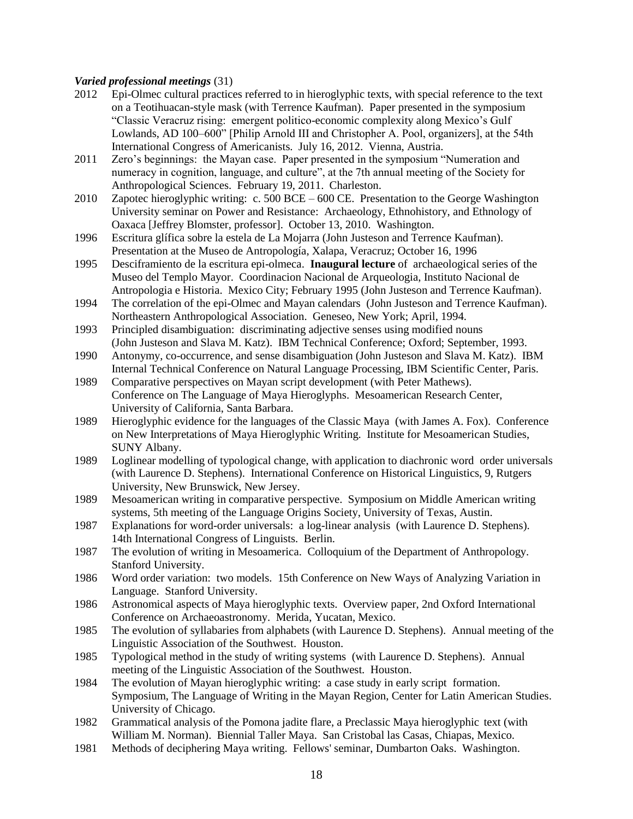## *Varied professional meetings* (31)

- 2012 Epi-Olmec cultural practices referred to in hieroglyphic texts, with special reference to the text on a Teotihuacan-style mask (with Terrence Kaufman). Paper presented in the symposium "Classic Veracruz rising: emergent politico-economic complexity along Mexico's Gulf Lowlands, AD 100–600" [Philip Arnold III and Christopher A. Pool, organizers], at the 54th International Congress of Americanists. July 16, 2012. Vienna, Austria.
- 2011 Zero's beginnings: the Mayan case. Paper presented in the symposium "Numeration and numeracy in cognition, language, and culture", at the 7th annual meeting of the Society for Anthropological Sciences. February 19, 2011. Charleston.
- 2010 Zapotec hieroglyphic writing: c. 500 BCE 600 CE. Presentation to the George Washington University seminar on Power and Resistance: Archaeology, Ethnohistory, and Ethnology of Oaxaca [Jeffrey Blomster, professor]. October 13, 2010. Washington.
- 1996 Escritura glífica sobre la estela de La Mojarra (John Justeson and Terrence Kaufman). Presentation at the Museo de Antropología, Xalapa, Veracruz; October 16, 1996
- 1995 Desciframiento de la escritura epi-olmeca. **Inaugural lecture** of archaeological series of the Museo del Templo Mayor. Coordinacion Nacional de Arqueologia, Instituto Nacional de Antropologia e Historia. Mexico City; February 1995 (John Justeson and Terrence Kaufman).
- 1994 The correlation of the epi-Olmec and Mayan calendars (John Justeson and Terrence Kaufman). Northeastern Anthropological Association. Geneseo, New York; April, 1994.
- 1993 Principled disambiguation: discriminating adjective senses using modified nouns (John Justeson and Slava M. Katz). IBM Technical Conference; Oxford; September, 1993.
- 1990 Antonymy, co-occurrence, and sense disambiguation (John Justeson and Slava M. Katz). IBM Internal Technical Conference on Natural Language Processing, IBM Scientific Center, Paris.
- 1989 Comparative perspectives on Mayan script development (with Peter Mathews). Conference on The Language of Maya Hieroglyphs. Mesoamerican Research Center, University of California, Santa Barbara.
- 1989 Hieroglyphic evidence for the languages of the Classic Maya (with James A. Fox). Conference on New Interpretations of Maya Hieroglyphic Writing. Institute for Mesoamerican Studies, SUNY Albany.
- 1989 Loglinear modelling of typological change, with application to diachronic word order universals (with Laurence D. Stephens). International Conference on Historical Linguistics, 9, Rutgers University, New Brunswick, New Jersey.
- 1989 Mesoamerican writing in comparative perspective. Symposium on Middle American writing systems, 5th meeting of the Language Origins Society, University of Texas, Austin.
- 1987 Explanations for word-order universals: a log-linear analysis (with Laurence D. Stephens). 14th International Congress of Linguists. Berlin.
- 1987 The evolution of writing in Mesoamerica. Colloquium of the Department of Anthropology. Stanford University.
- 1986 Word order variation: two models. 15th Conference on New Ways of Analyzing Variation in Language. Stanford University.
- 1986 Astronomical aspects of Maya hieroglyphic texts. Overview paper, 2nd Oxford International Conference on Archaeoastronomy. Merida, Yucatan, Mexico.
- 1985 The evolution of syllabaries from alphabets (with Laurence D. Stephens). Annual meeting of the Linguistic Association of the Southwest. Houston.
- 1985 Typological method in the study of writing systems (with Laurence D. Stephens). Annual meeting of the Linguistic Association of the Southwest. Houston.
- 1984 The evolution of Mayan hieroglyphic writing: a case study in early script formation. Symposium, The Language of Writing in the Mayan Region, Center for Latin American Studies. University of Chicago.
- 1982 Grammatical analysis of the Pomona jadite flare, a Preclassic Maya hieroglyphic text (with William M. Norman). Biennial Taller Maya. San Cristobal las Casas, Chiapas, Mexico.
- 1981 Methods of deciphering Maya writing. Fellows' seminar, Dumbarton Oaks. Washington.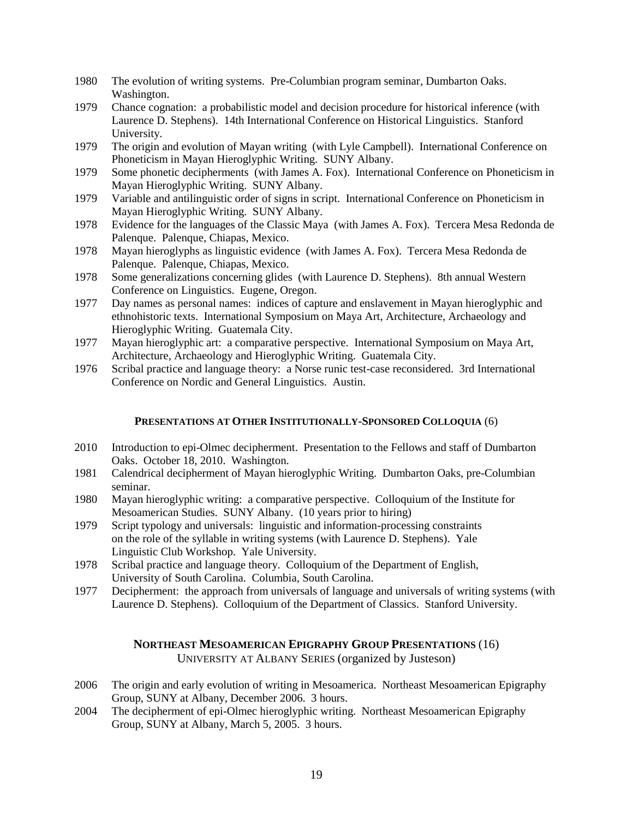- 1980 The evolution of writing systems. Pre-Columbian program seminar, Dumbarton Oaks. Washington.
- 1979 Chance cognation: a probabilistic model and decision procedure for historical inference (with Laurence D. Stephens). 14th International Conference on Historical Linguistics. Stanford University.
- 1979 The origin and evolution of Mayan writing (with Lyle Campbell). International Conference on Phoneticism in Mayan Hieroglyphic Writing. SUNY Albany.
- 1979 Some phonetic decipherments (with James A. Fox). International Conference on Phoneticism in Mayan Hieroglyphic Writing. SUNY Albany.
- 1979 Variable and antilinguistic order of signs in script. International Conference on Phoneticism in Mayan Hieroglyphic Writing. SUNY Albany.
- 1978 Evidence for the languages of the Classic Maya (with James A. Fox). Tercera Mesa Redonda de Palenque. Palenque, Chiapas, Mexico.
- 1978 Mayan hieroglyphs as linguistic evidence (with James A. Fox). Tercera Mesa Redonda de Palenque. Palenque, Chiapas, Mexico.
- 1978 Some generalizations concerning glides (with Laurence D. Stephens). 8th annual Western Conference on Linguistics. Eugene, Oregon.
- 1977 Day names as personal names: indices of capture and enslavement in Mayan hieroglyphic and ethnohistoric texts. International Symposium on Maya Art, Architecture, Archaeology and Hieroglyphic Writing. Guatemala City.
- 1977 Mayan hieroglyphic art: a comparative perspective. International Symposium on Maya Art, Architecture, Archaeology and Hieroglyphic Writing. Guatemala City.
- 1976 Scribal practice and language theory: a Norse runic test-case reconsidered. 3rd International Conference on Nordic and General Linguistics. Austin.

# **PRESENTATIONS AT OTHER INSTITUTIONALLY-SPONSORED COLLOQUIA** (6)

- 2010 Introduction to epi-Olmec decipherment. Presentation to the Fellows and staff of Dumbarton Oaks. October 18, 2010. Washington.
- 1981 Calendrical decipherment of Mayan hieroglyphic Writing. Dumbarton Oaks, pre-Columbian seminar.
- 1980 Mayan hieroglyphic writing: a comparative perspective. Colloquium of the Institute for Mesoamerican Studies. SUNY Albany. (10 years prior to hiring)
- 1979 Script typology and universals: linguistic and information-processing constraints on the role of the syllable in writing systems (with Laurence D. Stephens). Yale Linguistic Club Workshop. Yale University.
- 1978 Scribal practice and language theory. Colloquium of the Department of English, University of South Carolina. Columbia, South Carolina.
- 1977 Decipherment: the approach from universals of language and universals of writing systems (with Laurence D. Stephens). Colloquium of the Department of Classics. Stanford University.

# **NORTHEAST MESOAMERICAN EPIGRAPHY GROUP PRESENTATIONS** (16)

UNIVERSITY AT ALBANY SERIES (organized by Justeson)

- 2006 The origin and early evolution of writing in Mesoamerica. Northeast Mesoamerican Epigraphy Group, SUNY at Albany, December 2006. 3 hours.
- 2004 The decipherment of epi-Olmec hieroglyphic writing. Northeast Mesoamerican Epigraphy Group, SUNY at Albany, March 5, 2005. 3 hours.